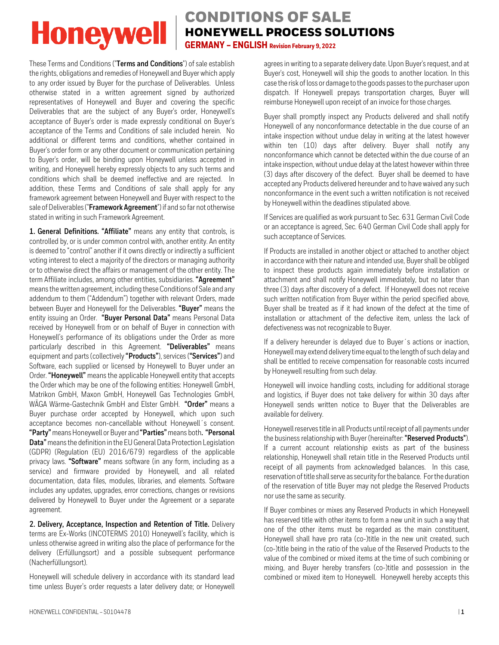### CONDITIONS OF SALE HONEYWELL PROCESS SOLUTIONS **GERMANY – ENGLISH Revision February 9, 2022**

These Terms and Conditions ("**Terms and Conditions**") of sale establish the rights, obligations and remedies of Honeywell and Buyer which apply to any order issued by Buyer for the purchase of Deliverables. Unless otherwise stated in a written agreement signed by authorized representatives of Honeywell and Buyer and covering the specific Deliverables that are the subject of any Buyer's order, Honeywell's acceptance of Buyer's order is made expressly conditional on Buyer's acceptance of the Terms and Conditions of sale included herein. No additional or different terms and conditions, whether contained in Buyer's order form or any other document or communication pertaining to Buyer's order, will be binding upon Honeywell unless accepted in writing, and Honeywell hereby expressly objects to any such terms and conditions which shall be deemed ineffective and are rejected. In addition, these Terms and Conditions of sale shall apply for any framework agreement between Honeywell and Buyer with respect to the sale of Deliverables ("**Framework Agreement**") if and so far not otherwise stated in writing in such Framework Agreement.

**1. General Definitions. "Affiliate"** means any entity that controls, is controlled by, or is under common control with, another entity. An entity is deemed to "control" another if it owns directly or indirectly a sufficient voting interest to elect a majority of the directors or managing authority or to otherwise direct the affairs or management of the other entity. The term Affiliate includes, among other entities, subsidiaries. **"Agreement"** means the written agreement, including these Conditions of Sale and any addendum to them ("Addendum") together with relevant Orders, made between Buyer and Honeywell for the Deliverables. **"Buyer"** means the entity issuing an Order. **"Buyer Personal Data"** means Personal Data received by Honeywell from or on behalf of Buyer in connection with Honeywell's performance of its obligations under the Order as more particularly described in this Agreement. **"Deliverables"** means equipment and parts (collectively **"Products"**), services (**"Services"**) and Software, each supplied or licensed by Honeywell to Buyer under an Order. **"Honeywell"** means the applicable Honeywell entity that accepts the Order which may be one of the following entities: Honeywell GmbH, Matrikon GmbH, Maxon GmbH, Honeywell Gas Technologies GmbH, WÄGA Wärme-Gastechnik GmbH and Elster GmbH. **"Order"** means a Buyer purchase order accepted by Honeywell, which upon such acceptance becomes non-cancellable without Honeywell´s consent. **"Party"**means Honeywell or Buyer and **"Parties"**means both**. "Personal Data"**means the definition in the EU General Data Protection Legislation (GDPR) (Regulation (EU) 2016/679) regardless of the applicable privacy laws. **"Software"** means software (in any form, including as a service) and firmware provided by Honeywell, and all related documentation, data files, modules, libraries, and elements. Software includes any updates, upgrades, error corrections, changes or revisions delivered by Honeywell to Buyer under the Agreement or a separate agreement.

**2. Delivery, Acceptance, Inspection and Retention of Title.** Delivery terms are Ex-Works (INCOTERMS 2010) Honeywell's facility, which is unless otherwise agreed in writing also the place of performance for the delivery (Erfüllungsort) and a possible subsequent performance (Nacherfüllungsort).

Honeywell will schedule delivery in accordance with its standard lead time unless Buyer's order requests a later delivery date; or Honeywell agrees in writing to a separate delivery date. Upon Buyer's request, and at Buyer's cost, Honeywell will ship the goods to another location. In this case the risk of loss or damage to the goods passes to the purchaser upon dispatch. If Honeywell prepays transportation charges, Buyer will reimburse Honeywell upon receipt of an invoice for those charges.

Buyer shall promptly inspect any Products delivered and shall notify Honeywell of any nonconformance detectable in the due course of an intake inspection without undue delay in writing at the latest however within ten (10) days after delivery. Buyer shall notify any nonconformance which cannot be detected within the due course of an intake inspection, without undue delay at the latest however within three (3) days after discovery of the defect. Buyer shall be deemed to have accepted any Products delivered hereunder and to have waived any such nonconformance in the event such a written notification is not received by Honeywell within the deadlines stipulated above.

If Services are qualified as work pursuant to Sec. 631 German Civil Code or an acceptance is agreed, Sec. 640 German Civil Code shall apply for such acceptance of Services.

If Products are installed in another object or attached to another object in accordance with their nature and intended use, Buyer shall be obliged to inspect these products again immediately before installation or attachment and shall notify Honeywell immediately, but no later than three (3) days after discovery of a defect. If Honeywell does not receive such written notification from Buyer within the period specified above, Buyer shall be treated as if it had known of the defect at the time of installation or attachment of the defective item, unless the lack of defectiveness was not recognizable to Buyer.

If a delivery hereunder is delayed due to Buyer´s actions or inaction, Honeywell may extend delivery time equal to the length of such delay and shall be entitled to receive compensation for reasonable costs incurred by Honeywell resulting from such delay.

Honeywell will invoice handling costs, including for additional storage and logistics, if Buyer does not take delivery for within 30 days after Honeywell sends written notice to Buyer that the Deliverables are available for delivery.

Honeywell reserves title in all Products until receipt of all payments under the business relationship with Buyer (hereinafter: **"Reserved Products"**). If a current account relationship exists as part of the business relationship, Honeywell shall retain title in the Reserved Products until receipt of all payments from acknowledged balances. In this case, reservation of title shall serve as security for the balance. For the duration of the reservation of title Buyer may not pledge the Reserved Products nor use the same as security.

If Buyer combines or mixes any Reserved Products in which Honeywell has reserved title with other items to form a new unit in such a way that one of the other items must be regarded as the main constituent, Honeywell shall have pro rata (co-)title in the new unit created, such (co-)title being in the ratio of the value of the Reserved Products to the value of the combined or mixed items at the time of such combining or mixing, and Buyer hereby transfers (co-)title and possession in the combined or mixed item to Honeywell. Honeywell hereby accepts this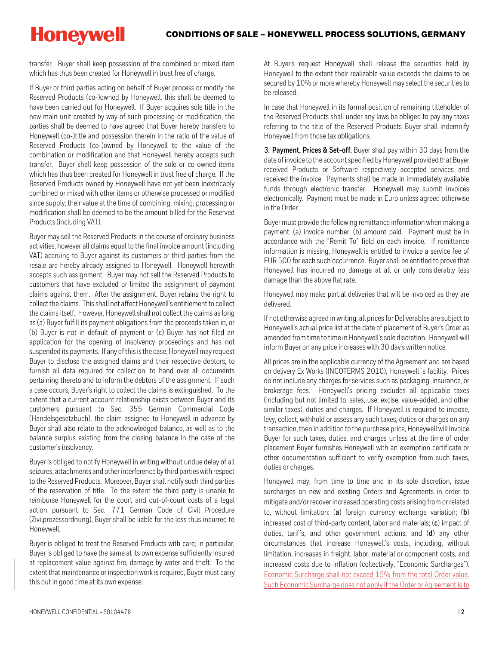transfer. Buyer shall keep possession of the combined or mixed item which has thus been created for Honeywell in trust free of charge.

If Buyer or third parties acting on behalf of Buyer process or modify the Reserved Products (co-)owned by Honeywell, this shall be deemed to have been carried out for Honeywell. If Buyer acquires sole title in the new main unit created by way of such processing or modification, the parties shall be deemed to have agreed that Buyer hereby transfers to Honeywell (co-)title and possession therein in the ratio of the value of Reserved Products (co-)owned by Honeywell to the value of the combination or modification and that Honeywell hereby accepts such transfer. Buyer shall keep possession of the sole or co-owned items which has thus been created for Honeywell in trust free of charge. If the Reserved Products owned by Honeywell have not yet been inextricably combined or mixed with other items or otherwise processed or modified since supply, their value at the time of combining, mixing, processing or modification shall be deemed to be the amount billed for the Reserved Products (including VAT).

Buyer may sell the Reserved Products in the course of ordinary business activities, however all claims equal to the final invoice amount (including VAT) accruing to Buyer against its customers or third parties from the resale are hereby already assigned to Honeywell. Honeywell herewith accepts such assignment. Buyer may not sell the Reserved Products to customers that have excluded or limited the assignment of payment claims against them. After the assignment, Buyer retains the right to collect the claims. This shall not affect Honeywell's entitlement to collect the claims itself. However, Honeywell shall not collect the claims as long as (a) Buyer fulfill its payment obligations from the proceeds taken in, or (b) Buyer is not in default of payment or (c) Buyer has not filed an application for the opening of insolvency proceedings and has not suspended its payments. If any of this is the case, Honeywell may request Buyer to disclose the assigned claims and their respective debtors, to furnish all data required for collection, to hand over all documents pertaining thereto and to inform the debtors of the assignment. If such a case occurs, Buyer's right to collect the claims is extinguished. To the extent that a current account relationship exists between Buyer and its customers pursuant to Sec. 355 German Commercial Code (Handelsgesetzbuch), the claim assigned to Honeywell in advance by Buyer shall also relate to the acknowledged balance, as well as to the balance surplus existing from the closing balance in the case of the customer's insolvency.

Buyer is obliged to notify Honeywell in writing without undue delay of all seizures, attachments and other interference by third parties with respect to the Reserved Products. Moreover, Buyer shall notify such third parties of the reservation of title. To the extent the third party is unable to reimburse Honeywell for the court and out-of-court costs of a legal action pursuant to Sec. 771 German Code of Civil Procedure (Zivilprozessordnung), Buyer shall be liable for the loss thus incurred to Honeywell.

Buyer is obliged to treat the Reserved Products with care; in particular, Buyer is obliged to have the same at its own expense sufficiently insured at replacement value against fire, damage by water and theft. To the extent that maintenance or inspection work is required, Buyer must carry this out in good time at its own expense.

At Buyer's request Honeywell shall release the securities held by Honeywell to the extent their realizable value exceeds the claims to be secured by 10% or more whereby Honeywell may select the securities to be released.

In case that Honeywell in its formal position of remaining titleholder of the Reserved Products shall under any laws be obliged to pay any taxes referring to the title of the Reserved Products Buyer shall indemnify Honeywell from those tax obligations.

**3. Payment, Prices & Set-off.** Buyer shall pay within 30 days from the date of invoice to the account specified by Honeywell provided that Buyer received Products or Software respectively accepted services and received the invoice. Payments shall be made in immediately available funds through electronic transfer. Honeywell may submit invoices electronically. Payment must be made in Euro unless agreed otherwise in the Order.

Buyer must provide the following remittance information when making a payment: (a) invoice number, (b) amount paid. Payment must be in accordance with the "Remit To" field on each invoice. If remittance information is missing, Honeywell is entitled to invoice a service fee of EUR 500 for each such occurrence. Buyer shall be entitled to prove that Honeywell has incurred no damage at all or only considerably less damage than the above flat rate.

Honeywell may make partial deliveries that will be invoiced as they are delivered.

If not otherwise agreed in writing, all prices for Deliverables are subject to Honeywell's actual price list at the date of placement of Buyer's Order as amended from time to time in Honeywell's sole discretion. Honeywell will inform Buyer on any price increases with 30 day's written notice.

All prices are in the applicable currency of the Agreement and are based on delivery Ex Works (INCOTERMS 2010), Honeywell´s facility. Prices do not include any charges for services such as packaging, insurance, or brokerage fees. Honeywell's pricing excludes all applicable taxes (including but not limited to, sales, use, excise, value-added, and other similar taxes), duties and charges. If Honeywell is required to impose, levy, collect, withhold or assess any such taxes, duties or charges on any transaction, then in addition to the purchase price, Honeywell will invoice Buyer for such taxes, duties, and charges unless at the time of order placement Buyer furnishes Honeywell with an exemption certificate or other documentation sufficient to verify exemption from such taxes, duties or charges.

Honeywell may, from time to time and in its sole discretion, issue surcharges on new and existing Orders and Agreements in order to mitigate and/or recover increased operating costs arising from or related to, without limitation: (**a**) foreign currency exchange variation; (**b**) increased cost of third-party content, labor and materials; (**c**) impact of duties, tariffs, and other government actions; and (**d**) any other circumstances that increase Honeywell's costs, including, without limitation, increases in freight, labor, material or component costs, and increased costs due to inflation (collectively, "Economic Surcharges"). Economic Surcharge shall not exceed 15% from the total Order value. Such Economic Surcharge does not apply if the Order or Agreement is to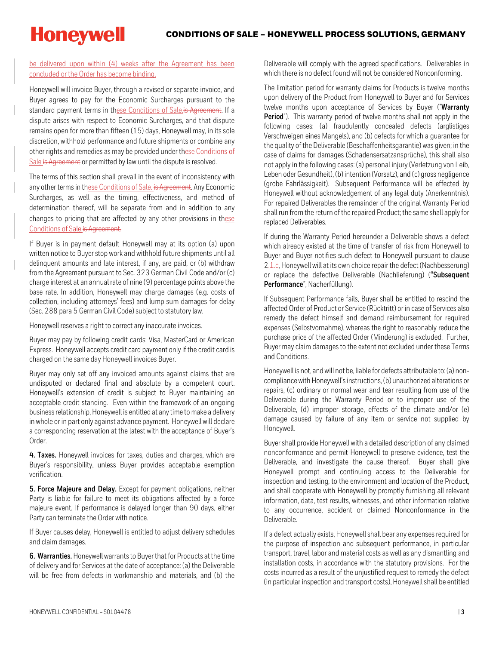be delivered upon within (4) weeks after the Agreement has been concluded or the Order has become binding.

Honeywell will invoice Buyer, through a revised or separate invoice, and Buyer agrees to pay for the Economic Surcharges pursuant to the standard payment terms in these Conditions of Sale.is Agreement. If a dispute arises with respect to Economic Surcharges, and that dispute remains open for more than fifteen (15) days, Honeywell may, in its sole discretion, withhold performance and future shipments or combine any other rights and remedies as may be provided under these Conditions of Sale is Agreement or permitted by law until the dispute is resolved.

The terms of this section shall prevail in the event of inconsistency with any other terms in these Conditions of Sale. is Agreement. Any Economic Surcharges, as well as the timing, effectiveness, and method of determination thereof, will be separate from and in addition to any changes to pricing that are affected by any other provisions in these Conditions of Sale.is Agreement.

If Buyer is in payment default Honeywell may at its option (a) upon written notice to Buyer stop work and withhold future shipments until all delinquent amounts and late interest, if any, are paid, or (b) withdraw from the Agreement pursuant to Sec. 323 German Civil Code and/or (c) charge interest at an annual rate of nine (9) percentage points above the base rate. In addition, Honeywell may charge damages (e.g. costs of collection, including attorneys' fees) and lump sum damages for delay (Sec. 288 para 5 German Civil Code) subject to statutory law.

Honeywell reserves a right to correct any inaccurate invoices.

Buyer may pay by following credit cards: Visa, MasterCard or American Express. Honeywell accepts credit card payment only if the credit card is charged on the same day Honeywell invoices Buyer.

Buyer may only set off any invoiced amounts against claims that are undisputed or declared final and absolute by a competent court. Honeywell's extension of credit is subject to Buyer maintaining an acceptable credit standing. Even within the framework of an ongoing business relationship, Honeywell is entitled at any time to make a delivery in whole or in part only against advance payment. Honeywell will declare a corresponding reservation at the latest with the acceptance of Buyer's Order.

**4. Taxes.** Honeywell invoices for taxes, duties and charges, which are Buyer's responsibility, unless Buyer provides acceptable exemption verification.

**5. Force Majeure and Delay.** Except for payment obligations, neither Party is liable for failure to meet its obligations affected by a force majeure event. If performance is delayed longer than 90 days, either Party can terminate the Order with notice.

If Buyer causes delay, Honeywell is entitled to adjust delivery schedules and claim damages.

**6. Warranties.** Honeywell warrants to Buyer that for Products at the time of delivery and for Services at the date of acceptance: (a) the Deliverable will be free from defects in workmanship and materials, and (b) the

Deliverable will comply with the agreed specifications. Deliverables in which there is no defect found will not be considered Nonconforming.

The limitation period for warranty claims for Products is twelve months upon delivery of the Product from Honeywell to Buyer and for Services twelve months upon acceptance of Services by Buyer ("**Warranty Period**"). This warranty period of twelve months shall not apply in the following cases: (a) fraudulently concealed defects (arglistiges Verschweigen eines Mangels), and (b) defects for which a guarantee for the quality of the Deliverable (Beschaffenheitsgarantie) was given; in the case of claims for damages (Schadensersatzansprüche), this shall also not apply in the following cases: (a) personal injury (Verletzung von Leib, Leben oder Gesundheit), (b) intention (Vorsatz), and (c) gross negligence (grobe Fahrlässigkeit). Subsequent Performance will be effected by Honeywell without acknowledgement of any legal duty (Anerkenntnis). For repaired Deliverables the remainder of the original Warranty Period shall run from the return of the repaired Product; the same shall apply for replaced Deliverables.

If during the Warranty Period hereunder a Deliverable shows a defect which already existed at the time of transfer of risk from Honeywell to Buyer and Buyer notifies such defect to Honeywell pursuant to clause 2.1.e, Honeywell will at its own choice repair the defect (Nachbesserung) or replace the defective Deliverable (Nachlieferung) (**"Subsequent Performance**", Nacherfüllung).

If Subsequent Performance fails, Buyer shall be entitled to rescind the affected Order of Product or Service (Rücktritt) or in case of Services also remedy the defect himself and demand reimbursement for required expenses (Selbstvornahme), whereas the right to reasonably reduce the purchase price of the affected Order (Minderung) is excluded. Further, Buyer may claim damages to the extent not excluded under these Terms and Conditions.

Honeywell is not, and will not be, liable for defects attributable to: (a) noncompliance with Honeywell's instructions, (b) unauthorized alterations or repairs, (c) ordinary or normal wear and tear resulting from use of the Deliverable during the Warranty Period or to improper use of the Deliverable, (d) improper storage, effects of the climate and/or (e) damage caused by failure of any item or service not supplied by Honeywell.

Buyer shall provide Honeywell with a detailed description of any claimed nonconformance and permit Honeywell to preserve evidence, test the Deliverable, and investigate the cause thereof. Buyer shall give Honeywell prompt and continuing access to the Deliverable for inspection and testing, to the environment and location of the Product, and shall cooperate with Honeywell by promptly furnishing all relevant information, data, test results, witnesses, and other information relative to any occurrence, accident or claimed Nonconformance in the Deliverable.

If a defect actually exists, Honeywell shall bear any expenses required for the purpose of inspection and subsequent performance, in particular transport, travel, labor and material costs as well as any dismantling and installation costs, in accordance with the statutory provisions. For the costs incurred as a result of the unjustified request to remedy the defect (in particular inspection and transport costs), Honeywell shall be entitled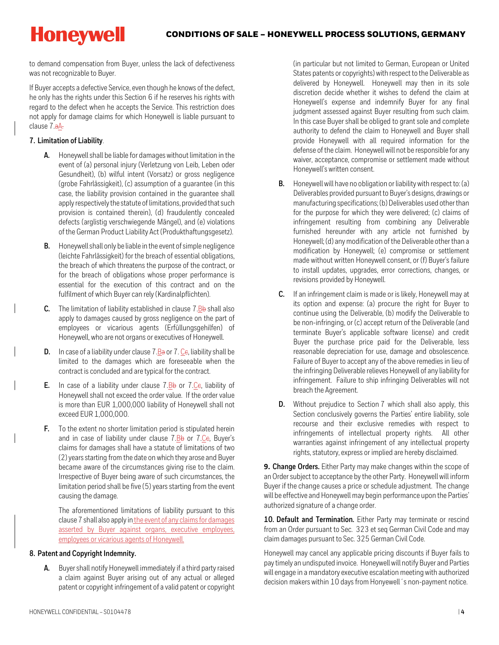to demand compensation from Buyer, unless the lack of defectiveness was not recognizable to Buyer.

If Buyer accepts a defective Service, even though he knows of the defect, he only has the rights under this Section 6 if he reserves his rights with regard to the defect when he accepts the Service. This restriction does not apply for damage claims for which Honeywell is liable pursuant to clause 7.aA.

#### **7. Limitation of Liability**.

- **A.** Honeywell shall be liable for damages without limitation in the event of (a) personal injury (Verletzung von Leib, Leben oder Gesundheit), (b) wilful intent (Vorsatz) or gross negligence (grobe Fahrlässigkeit), (c) assumption of a guarantee (in this case, the liability provision contained in the guarantee shall apply respectively the statute of limitations, provided that such provision is contained therein), (d) fraudulently concealed defects (arglistig verschwiegende Mängel), and (e) violations of the German Product Liability Act (Produkthaftungsgesetz).
- **B.** Honeywell shall only be liable in the event of simple negligence (leichte Fahrlässigkeit) for the breach of essential obligations, the breach of which threatens the purpose of the contract, or for the breach of obligations whose proper performance is essential for the execution of this contract and on the fulfilment of which Buyer can rely (Kardinalpflichten).
- **C.** The limitation of liability established in clause  $7.\underline{B}b$  shall also apply to damages caused by gross negligence on the part of employees or vicarious agents (Erfüllungsgehilfen) of Honeywell, who are not organs or executives of Honeywell.
- **D.** In case of a liability under clause  $7.\underline{B}$  or  $7.\underline{C}$ , liability shall be limited to the damages which are foreseeable when the contract is concluded and are typical for the contract.
- **E.** In case of a liability under clause  $7.\underline{B}b$  or  $7.\underline{C}e$ , liability of Honeywell shall not exceed the order value. If the order value is more than EUR 1,000,000 liability of Honeywell shall not exceed EUR 1,000,000.
- **F.** To the extent no shorter limitation period is stipulated herein and in case of liability under clause  $7.8\text{b}$  or  $7.6\text{c}$ , Buyer's claims for damages shall have a statute of limitations of two (2) years starting from the date on which they arose and Buyer became aware of the circumstances giving rise to the claim. Irrespective of Buyer being aware of such circumstances, the limitation period shall be five (5) years starting from the event causing the damage.

The aforementioned limitations of liability pursuant to this clause 7shall also apply in the event of any claims for damages asserted by Buyer against organs, executive employees, employees or vicarious agents of Honeywell.

#### **8. Patent and Copyright Indemnity.**

**A.** Buyer shall notify Honeywell immediately if a third party raised a claim against Buyer arising out of any actual or alleged patent or copyright infringement of a valid patent or copyright (in particular but not limited to German, European or United States patents or copyrights) with respect to the Deliverable as delivered by Honeywell. Honeywell may then in its sole discretion decide whether it wishes to defend the claim at Honeywell's expense and indemnify Buyer for any final judgment assessed against Buyer resulting from such claim. In this case Buyer shall be obliged to grant sole and complete authority to defend the claim to Honeywell and Buyer shall provide Honeywell with all required information for the defense of the claim. Honeywell will not be responsible for any waiver, acceptance, compromise or settlement made without Honeywell's written consent.

- **B.** Honeywell will have no obligation or liability with respect to: (a) Deliverables provided pursuant to Buyer's designs, drawings or manufacturing specifications; (b) Deliverables used other than for the purpose for which they were delivered; (c) claims of infringement resulting from combining any Deliverable furnished hereunder with any article not furnished by Honeywell; (d) any modification of the Deliverable other than a modification by Honeywell; (e) compromise or settlement made without written Honeywell consent, or (f) Buyer's failure to install updates, upgrades, error corrections, changes, or revisions provided by Honeywell.
- **C.** If an infringement claim is made or is likely, Honeywell may at its option and expense: (a) procure the right for Buyer to continue using the Deliverable, (b) modify the Deliverable to be non-infringing, or (c) accept return of the Deliverable (and terminate Buyer's applicable software license) and credit Buyer the purchase price paid for the Deliverable, less reasonable depreciation for use, damage and obsolescence. Failure of Buyer to accept any of the above remedies in lieu of the infringing Deliverable relieves Honeywell of any liability for infringement. Failure to ship infringing Deliverables will not breach the Agreement.
- **D.** Without prejudice to Section 7 which shall also apply, this Section conclusively governs the Parties' entire liability, sole recourse and their exclusive remedies with respect to infringements of intellectual property rights. All other warranties against infringement of any intellectual property rights, statutory, express or implied are hereby disclaimed.

**9. Change Orders.** Either Party may make changes within the scope of an Order subject to acceptance by the other Party. Honeywell will inform Buyer if the change causes a price or schedule adjustment. The change will be effective and Honeywell may begin performance upon the Parties' authorized signature of a change order.

**10. Default and Termination.** Either Party may terminate or rescind from an Order pursuant to Sec. 323 et seq German Civil Code and may claim damages pursuant to Sec. 325 German Civil Code.

Honeywell may cancel any applicable pricing discounts if Buyer fails to pay timely an undisputed invoice. Honeywell will notify Buyer and Parties will engage in a mandatory executive escalation meeting with authorized decision makers within 10 days from Honyewell´s non-payment notice.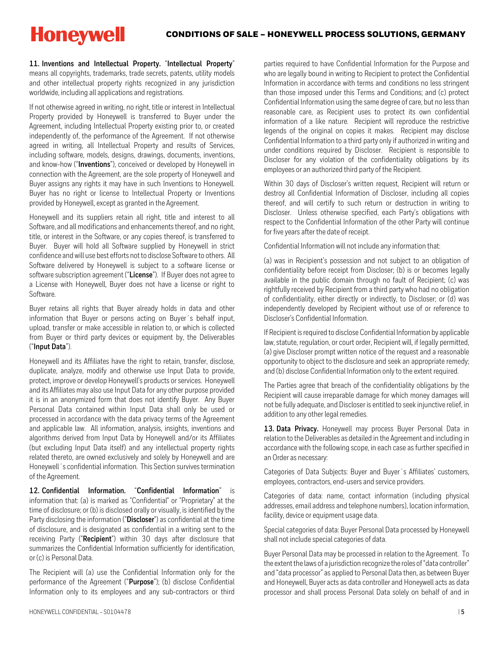**11. Inventions and Intellectual Property.** "**Intellectual Property**" means all copyrights, trademarks, trade secrets, patents, utility models and other intellectual property rights recognized in any jurisdiction worldwide, including all applications and registrations.

If not otherwise agreed in writing, no right, title or interest in Intellectual Property provided by Honeywell is transferred to Buyer under the Agreement, including Intellectual Property existing prior to, or created independently of, the performance of the Agreement. If not otherwise agreed in writing, all Intellectual Property and results of Services, including software, models, designs, drawings, documents, inventions, and know-how ("**Inventions**"), conceived or developed by Honeywell in connection with the Agreement, are the sole property of Honeywell and Buyer assigns any rights it may have in such Inventions to Honeywell. Buyer has no right or license to Intellectual Property or Inventions provided by Honeywell, except as granted in the Agreement.

Honeywell and its suppliers retain all right, title and interest to all Software, and all modifications and enhancements thereof, and no right, title, or interest in the Software, or any copies thereof, is transferred to Buyer. Buyer will hold all Software supplied by Honeywell in strict confidence and will use best efforts not to disclose Software to others. All Software delivered by Honeywell is subject to a software license or software subscription agreement ("**License**"). If Buyer does not agree to a License with Honeywell, Buyer does not have a license or right to Software.

Buyer retains all rights that Buyer already holds in data and other information that Buyer or persons acting on Buyer´s behalf input, upload, transfer or make accessible in relation to, or which is collected from Buyer or third party devices or equipment by, the Deliverables ("**Input Data**").

Honeywell and its Affiliates have the right to retain, transfer, disclose, duplicate, analyze, modify and otherwise use Input Data to provide, protect, improve or develop Honeywell's products or services. Honeywell and its Affiliates may also use Input Data for any other purpose provided it is in an anonymized form that does not identify Buyer. Any Buyer Personal Data contained within Input Data shall only be used or processed in accordance with the data privacy terms of the Agreement and applicable law. All information, analysis, insights, inventions and algorithms derived from Input Data by Honeywell and/or its Affiliates (but excluding Input Data itself) and any intellectual property rights related thereto, are owned exclusively and solely by Honeywell and are Honeywell´s confidential information. This Section survives termination of the Agreement.

**12. Confidential Information.** "**Confidential Information**" is information that: (a) is marked as "Confidential" or "Proprietary" at the time of disclosure; or (b) is disclosed orally or visually, is identified bythe Party disclosing the information ("**Discloser**") as confidential at the time of disclosure, and is designated as confidential in a writing sent to the receiving Party ("**Recipient**") within 30 days after disclosure that summarizes the Confidential Information sufficiently for identification, or (c) is Personal Data.

The Recipient will (a) use the Confidential Information only for the performance of the Agreement ("**Purpose**"); (b) disclose Confidential Information only to its employees and any sub-contractors or third

parties required to have Confidential Information for the Purpose and who are legally bound in writing to Recipient to protect the Confidential Information in accordance with terms and conditions no less stringent than those imposed under this Terms and Conditions; and (c) protect Confidential Information using the same degree of care, but no less than reasonable care, as Recipient uses to protect its own confidential information of a like nature. Recipient will reproduce the restrictive legends of the original on copies it makes. Recipient may disclose Confidential Information to a third party only if authorized in writing and under conditions required by Discloser. Recipient is responsible to Discloser for any violation of the confidentiality obligations by its employees or an authorized third party of the Recipient.

Within 30 days of Discloser's written request, Recipient will return or destroy all Confidential Information of Discloser, including all copies thereof, and will certify to such return or destruction in writing to Discloser. Unless otherwise specified, each Party's obligations with respect to the Confidential Information of the other Party will continue for five years after the date of receipt.

Confidential Information will not include any information that:

(a) was in Recipient's possession and not subject to an obligation of confidentiality before receipt from Discloser; (b) is or becomes legally available in the public domain through no fault of Recipient; (c) was rightfully received by Recipient from a third party who had no obligation of confidentiality, either directly or indirectly, to Discloser; or (d) was independently developed by Recipient without use of or reference to Discloser's Confidential Information.

If Recipient is required to disclose Confidential Information by applicable law, statute, regulation, or court order, Recipient will, if legally permitted, (a) give Discloser prompt written notice of the request and a reasonable opportunity to object to the disclosure and seek an appropriate remedy; and (b) disclose Confidential Information only to the extent required.

The Parties agree that breach of the confidentiality obligations by the Recipient will cause irreparable damage for which money damages will not be fully adequate, and Discloser is entitled to seek injunctive relief, in addition to any other legal remedies.

**13. Data Privacy.** Honeywell may process Buyer Personal Data in relation to the Deliverables as detailed in the Agreement and including in accordance with the following scope, in each case as further specified in an Order as necessary:

Categories of Data Subjects: Buyer and Buyer´s Affiliates' customers, employees, contractors, end-users and service providers.

Categories of data: name, contact information (including physical addresses, email address and telephone numbers), location information, facility, device or equipment usage data.

Special categories of data: Buyer Personal Data processed by Honeywell shall not include special categories of data.

Buyer Personal Data may be processed in relation to the Agreement. To the extent the laws of a jurisdiction recognize the roles of "data controller" and "data processor" as applied to Personal Data then, as between Buyer and Honeywell, Buyer acts as data controller and Honeywell acts as data processor and shall process Personal Data solely on behalf of and in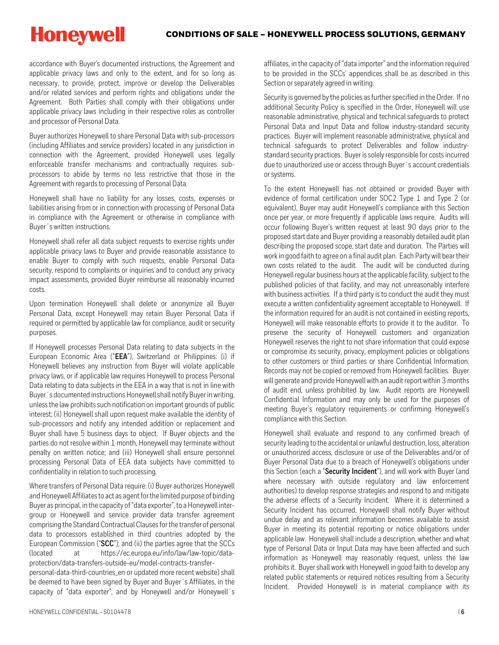#### CONDITIONS OF SALE – HONEYWELL PROCESS SOLUTIONS, GERMANY

**Honeywell** 

accordance with Buyer's documented instructions, the Agreement and applicable privacy laws and only to the extent, and for so long as necessary, to provide, protect, improve or develop the Deliverables and/or related services and perform rights and obligations under the Agreement. Both Parties shall comply with their obligations under applicable privacy laws including in their respective roles as controller and processor of Personal Data.

Buyer authorizes Honeywell to share Personal Data with sub-processors (including Affiliates and service providers) located in any jurisdiction in connection with the Agreement, provided Honeywell uses legally enforceable transfer mechanisms and contractually requires subprocessors to abide by terms no less restrictive that those in the Agreement with regards to processing of Personal Data.

Honeywell shall have no liability for any losses, costs, expenses or liabilities arising from or in connection with processing of Personal Data in compliance with the Agreement or otherwise in compliance with Buyer´s written instructions.

Honeywell shall refer all data subject requests to exercise rights under applicable privacy laws to Buyer and provide reasonable assistance to enable Buyer to comply with such requests, enable Personal Data security, respond to complaints or inquiries and to conduct any privacy impact assessments, provided Buyer reimburse all reasonably incurred costs.

Upon termination Honeywell shall delete or anonymize all Buyer Personal Data, except Honeywell may retain Buyer Personal Data if required or permitted by applicable law for compliance, audit or security purposes.

If Honeywell processes Personal Data relating to data subjects in the European Economic Area ("**EEA**"), Switzerland or Philippines: (i) if Honeywell believes any instruction from Buyer will violate applicable privacy laws, or if applicable law requires Honeywell to process Personal Data relating to data subjects in the EEA in a way that is not in line with Buyer´s documented instructions Honeywell shall notify Buyer in writing, unless the law prohibits such notification on important grounds of public interest; (ii) Honeywell shall upon request make available the identity of sub-processors and notify any intended addition or replacement and Buyer shall have 5 business days to object. If Buyer objects and the parties do not resolve within 1 month, Honeywell may terminate without penalty on written notice; and (iii) Honeywell shall ensure personnel processing Personal Data of EEA data subjects have committed to confidentiality in relation to such processing.

Where transfers of Personal Data require: (i) Buyer authorizes Honeywell and Honeywell Affiliates to act as agent for the limited purpose of binding Buyer as principal, in the capacity of "data exporter", to a Honeywell intergroup or Honeywell and service provider data transfer agreement comprising the Standard Contractual Clauses for the transfer of personal data to processors established in third countries adopted by the European Commission ("**SCC**"); and (ii) the parties agree that the SCCs (located at [https://ec.europa.eu/info/law/law-topic/data](https://ec.europa.eu/info/law/law-topic/data-protection/data-transfers-outside-eu/model-contracts-transfer-personal-data-third-countries_en)[protection/data-transfers-outside-eu/model-contracts-transfer](https://ec.europa.eu/info/law/law-topic/data-protection/data-transfers-outside-eu/model-contracts-transfer-personal-data-third-countries_en)[personal-data-third-countries\\_en](https://ec.europa.eu/info/law/law-topic/data-protection/data-transfers-outside-eu/model-contracts-transfer-personal-data-third-countries_en) or updated more recent website) shall be deemed to have been signed by Buyer and Buyer´s Affiliates, in the capacity of "data exporter", and by Honeywell and/or Honeywell´s

affiliates, in the capacity of "data importer" and the information required to be provided in the SCCs' appendices shall be as described in this Section or separately agreed in writing.

Security is governed by the policies as further specified in the Order. If no additional Security Policy is specified in the Order, Honeywell will use reasonable administrative, physical and technical safeguards to protect Personal Data and Input Data and follow industry-standard security practices. Buyer will implement reasonable administrative, physical and technical safeguards to protect Deliverables and follow industrystandard security practices. Buyer is solely responsible for costs incurred due to unauthorized use or access through Buyer´s account credentials or systems.

To the extent Honeywell has not obtained or provided Buyer with evidence of formal certification under SOC2 Type 1 and Type 2 (or equivalent), Buyer may audit Honeywell's compliance with this Section once per year, or more frequently if applicable laws require. Audits will occur following Buyer's written request at least 90 days prior to the proposed start date and Buyer providing a reasonably detailed audit plan describing the proposed scope, start date and duration. The Parties will work in good faith to agree on a final audit plan. Each Party will bear their own costs related to the audit. The audit will be conducted during Honeywell regular business hours at the applicable facility, subject to the published policies of that facility, and may not unreasonably interfere with business activities. If a third party is to conduct the audit they must execute a written confidentiality agreement acceptable to Honeywell. If the information required for an audit is not contained in existing reports, Honeywell will make reasonable efforts to provide it to the auditor. To preserve the security of Honeywell customers and organization Honeywell reserves the right to not share information that could expose or compromise its security, privacy, employment policies or obligations to other customers or third parties or share Confidential Information. Records may not be copied or removed from Honeywell facilities. Buyer will generate and provide Honeywell with an audit report within 3 months of audit end, unless prohibited by law. Audit reports are Honeywell Confidential Information and may only be used for the purposes of meeting Buyer's regulatory requirements or confirming Honeywell's compliance with this Section.

Honeywell shall evaluate and respond to any confirmed breach of security leading to the accidental or unlawful destruction, loss, alteration or unauthorized access, disclosure or use of the Deliverables and/or of Buyer Personal Data due to a breach of Honeywell's obligations under this Section (each a "**Security Incident**"), and will work with Buyer (and where necessary with outside regulatory and law enforcement authorities) to develop response strategies and respond to and mitigate the adverse effects of a Security Incident. Where it is determined a Security Incident has occurred, Honeywell shall notify Buyer without undue delay and as relevant information becomes available to assist Buyer in meeting its potential reporting or notice obligations under applicable law. Honeywell shall include a description, whether and what type of Personal Data or Input Data may have been affected and such information as Honeywell may reasonably request, unless the law prohibits it. Buyer shall work with Honeywell in good faith to develop any related public statements or required notices resulting from a Security Incident. Provided Honeywell is in material compliance with its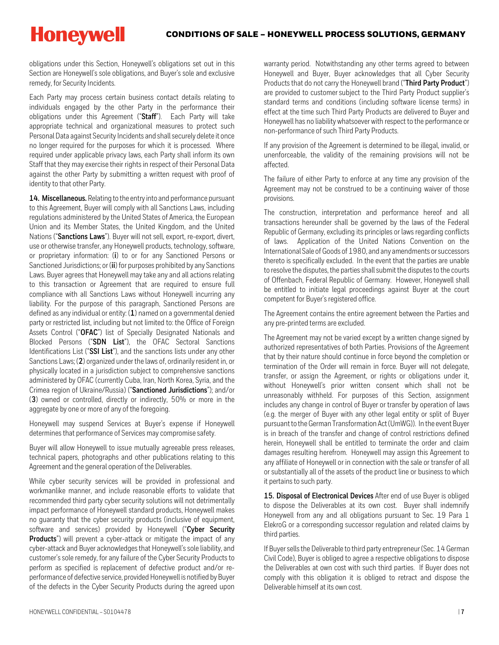obligations under this Section, Honeywell's obligations set out in this Section are Honeywell's sole obligations, and Buyer's sole and exclusive remedy, for Security Incidents.

Each Party may process certain business contact details relating to individuals engaged by the other Party in the performance their obligations under this Agreement ("**Staff**"). Each Party will take appropriate technical and organizational measures to protect such Personal Data against Security Incidents and shall securely delete it once no longer required for the purposes for which it is processed. Where required under applicable privacy laws, each Party shall inform its own Staff that they may exercise their rights in respect of their Personal Data against the other Party by submitting a written request with proof of identity to that other Party.

**14. Miscellaneous.** Relating to the entry into and performance pursuant to this Agreement, Buyer will comply with all Sanctions Laws, including regulations administered by the United States of America, the European Union and its Member States, the United Kingdom, and the United Nations ("**Sanctions Laws**"). Buyer will not sell, export, re-export, divert, use or otherwise transfer, any Honeywell products, technology, software, or proprietary information: (**i**) to or for any Sanctioned Persons or Sanctioned Jurisdictions; or (**ii**) for purposes prohibited by any Sanctions Laws. Buyer agrees that Honeywell may take any and all actions relating to this transaction or Agreement that are required to ensure full compliance with all Sanctions Laws without Honeywell incurring any liability. For the purpose of this paragraph, Sanctioned Persons are defined as any individual or entity: (**1**) named on a governmental denied party or restricted list, including but not limited to: the Office of Foreign Assets Control ("**OFAC**") list of Specially Designated Nationals and Blocked Persons ("**SDN List**"), the OFAC Sectoral Sanctions Identifications List ("**SSI List**"), and the sanctions lists under any other Sanctions Laws; (**2**) organized under the laws of, ordinarily resident in, or physically located in a jurisdiction subject to comprehensive sanctions administered by OFAC (currently Cuba, Iran, North Korea, Syria, and the Crimea region of Ukraine/Russia) ("**Sanctioned Jurisdictions**"); and/or (**3**) owned or controlled, directly or indirectly, 50% or more in the aggregate by one or more of any of the foregoing.

Honeywell may suspend Services at Buyer's expense if Honeywell determines that performance of Services may compromise safety.

Buyer will allow Honeywell to issue mutually agreeable press releases, technical papers, photographs and other publications relating to this Agreement and the general operation of the Deliverables.

While cyber security services will be provided in professional and workmanlike manner, and include reasonable efforts to validate that recommended third party cyber security solutions will not detrimentally impact performance of Honeywell standard products, Honeywell makes no guaranty that the cyber security products (inclusive of equipment, software and services) provided by Honeywell ("**Cyber Security Products**") will prevent a cyber-attack or mitigate the impact of any cyber-attack and Buyer acknowledges that Honeywell's sole liability, and customer's sole remedy, for any failure of the Cyber Security Products to perform as specified is replacement of defective product and/or reperformance of defective service, provided Honeywell is notified by Buyer of the defects in the Cyber Security Products during the agreed upon

warranty period. Notwithstanding any other terms agreed to between Honeywell and Buyer, Buyer acknowledges that all Cyber Security Products that do not carry the Honeywell brand ("**Third Party Product**") are provided to customersubject to the Third Party Product supplier's standard terms and conditions (including software license terms) in effect at the time such Third Party Products are delivered to Buyer and Honeywell has no liability whatsoever with respect to the performance or non-performance of such Third Party Products.

If any provision of the Agreement is determined to be illegal, invalid, or unenforceable, the validity of the remaining provisions will not be affected.

The failure of either Party to enforce at any time any provision of the Agreement may not be construed to be a continuing waiver of those provisions.

The construction, interpretation and performance hereof and all transactions hereunder shall be governed by the laws of the Federal Republic of Germany, excluding its principles or laws regarding conflicts of laws. Application of the United Nations Convention on the International Sale of Goods of 1980, and any amendments or successors thereto is specifically excluded. In the event that the parties are unable to resolve the disputes, the parties shall submit the disputes to the courts of Offenbach, Federal Republic of Germany. However, Honeywell shall be entitled to initiate legal proceedings against Buyer at the court competent for Buyer's registered office.

The Agreement contains the entire agreement between the Parties and any pre-printed terms are excluded.

The Agreement may not be varied except by a written change signed by authorized representatives of both Parties. Provisions of the Agreement that by their nature should continue in force beyond the completion or termination of the Order will remain in force. Buyer will not delegate, transfer, or assign the Agreement, or rights or obligations under it, without Honeywell's prior written consent which shall not be unreasonably withheld. For purposes of this Section, assignment includes any change in control of Buyer or transfer by operation of laws (e.g. the merger of Buyer with any other legal entity or split of Buyer pursuant to the German Transformation Act (UmWG)). In the event Buyer is in breach of the transfer and change of control restrictions defined herein, Honeywell shall be entitled to terminate the order and claim damages resulting herefrom. Honeywell may assign this Agreement to any affiliate of Honeywell or in connection with the sale or transfer of all or substantially all of the assets of the product line or business to which it pertains to such party.

**15. Disposal of Electronical Devices** After end of use Buyer is obliged to dispose the Deliverables at its own cost. Buyer shall indemnify Honeywell from any and all obligations pursuant to Sec. 19 Para 1 ElekroG or a corresponding successor regulation and related claims by third parties.

If Buyer sells the Deliverable to third party entrepreneur (Sec. 14 German Civil Code), Buyer is obliged to agree a respective obligations to dispose the Deliverables at own cost with such third parties. If Buyer does not comply with this obligation it is obliged to retract and dispose the Deliverable himself at its own cost.